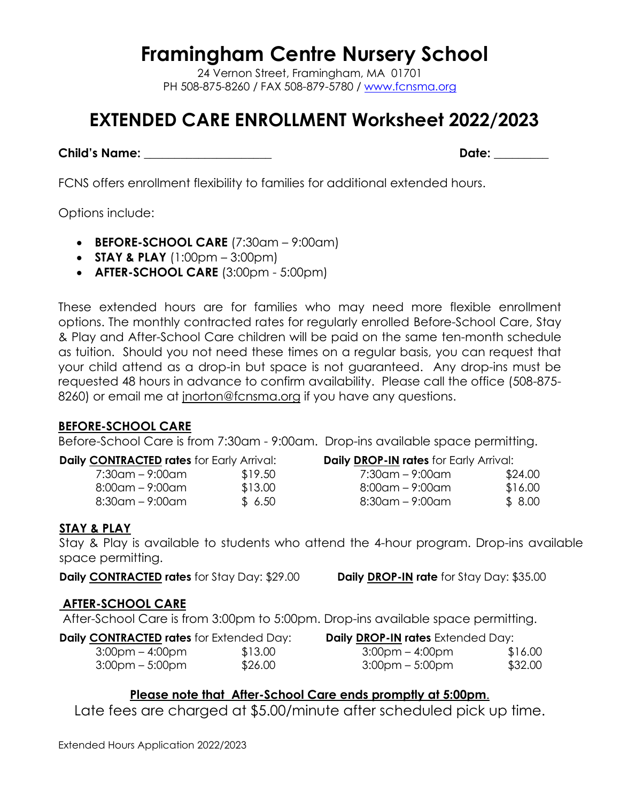**Framingham Centre Nursery School**

24 Vernon Street, Framingham, MA 01701 PH 508-875-8260 / FAX 508-879-5780 / [www.fcnsma.org](http://www.fcnsma.org/)

# **EXTENDED CARE ENROLLMENT Worksheet 2022/2023**

**Child's Name: \_\_\_\_\_\_\_\_\_\_\_\_\_\_\_\_\_\_\_\_\_ Date: \_\_\_\_\_\_\_\_\_** 

FCNS offers enrollment flexibility to families for additional extended hours.

Options include:

- **BEFORE-SCHOOL CARE** (7:30am 9:00am)
- **STAY & PLAY** (1:00pm 3:00pm)
- **AFTER-SCHOOL CARE** (3:00pm 5:00pm)

These extended hours are for families who may need more flexible enrollment options. The monthly contracted rates for regularly enrolled Before-School Care, Stay & Play and After-School Care children will be paid on the same ten-month schedule as tuition. Should you not need these times on a regular basis, you can request that your child attend as a drop-in but space is not guaranteed. Any drop-ins must be requested 48 hours in advance to confirm availability. Please call the office (508-875- 8260) or email me at jnorton@fcnsma.org if you have any questions.

# **BEFORE-SCHOOL CARE**

Before-School Care is from 7:30am - 9:00am. Drop-ins available space permitting.

|  | <b>Daily CONTRACTED rates for Early Arrival:</b> |
|--|--------------------------------------------------|
|  |                                                  |

| 7:30am – 9:00am | \$19.50 |
|-----------------|---------|
| 8:00am – 9:00am | \$13.00 |
| 8:30am – 9:00am | \$6.50  |

| <b>Daily DROP-IN rates</b> for Early Arrival: |         |
|-----------------------------------------------|---------|
| 7:30am – 9:00am                               | \$24.00 |
| $8:00$ am – 9:00am                            | \$16.00 |
| $8:30$ am – 9:00am                            | \$8.00  |

# **STAY & PLAY**

Stay & Play is available to students who attend the 4-hour program. Drop-ins available space permitting.

**Daily CONTRACTED rates** for Stay Day: \$29.00 **Daily DROP-IN rate** for Stay Day: \$35.00

# **AFTER-SCHOOL CARE**

After-School Care is from 3:00pm to 5:00pm. Drop-ins available space permitting.

| <b>Daily CONTRACTED rates</b> for Extended Day: |         | <b>Daily DROP-IN rates</b> Extended Day: |         |  |
|-------------------------------------------------|---------|------------------------------------------|---------|--|
| 3:00pm – 4:00pm                                 | \$13.00 | 3:00pm – 4:00pm                          | \$16.00 |  |
| $3:00$ pm – 5:00pm                              | \$26.00 | $3:00$ pm – 5:00pm                       | \$32.00 |  |

# **Please note that After-School Care ends promptly at 5:00pm**.

Late fees are charged at \$5.00/minute after scheduled pick up time.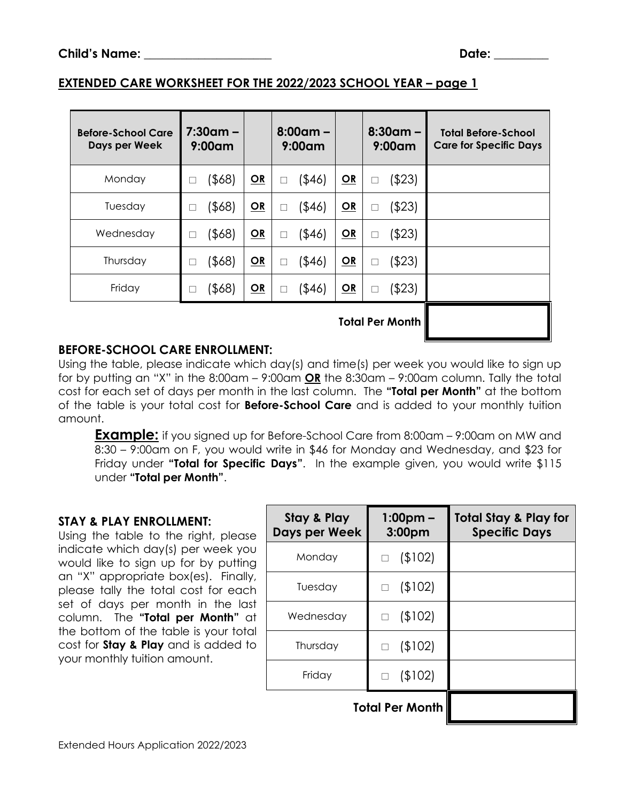#### **EXTENDED CARE WORKSHEET FOR THE 2022/2023 SCHOOL YEAR – page 1**

| <b>Before-School Care</b><br>Days per Week | $7:30$ am –<br>$9:00$ am |      | $8:00$ am –<br>$9:00$ am |    | $8:30$ am –<br>$9:00$ am | <b>Total Before-School</b><br><b>Care for Specific Days</b> |
|--------------------------------------------|--------------------------|------|--------------------------|----|--------------------------|-------------------------------------------------------------|
| Monday                                     | $($ \$68)                | $OR$ | $($ \$46)<br>П           | QR | (\$23)<br>П              |                                                             |
| Tuesday                                    | $($ \$68)                | OR   | $($ \$46)<br>□           | QR | $($ \$23)<br>$\Box$      |                                                             |
| Wednesday                                  | $($ \$68)                | QR   | $($ \$46)<br>□           | QR | $($ \$23)<br>$\Box$      |                                                             |
| Thursday                                   | (\$68)                   | OR   | (\$46)<br>П              | OR | (\$23)<br>Г              |                                                             |
| Friday                                     | $($ \$68)                | QR   | (\$46)<br>□              | QR | ( \$23)<br>Г             |                                                             |
|                                            |                          |      |                          |    | <b>Total Per Month</b>   |                                                             |

#### **BEFORE-SCHOOL CARE ENROLLMENT:**

Using the table, please indicate which day(s) and time(s) per week you would like to sign up for by putting an "X" in the 8:00am – 9:00am **OR** the 8:30am – 9:00am column. Tally the total cost for each set of days per month in the last column. The **"Total per Month"** at the bottom of the table is your total cost for **Before-School Care** and is added to your monthly tuition amount.

**Example:** if you signed up for Before-School Care from 8:00am – 9:00am on MW and 8:30 – 9:00am on F, you would write in \$46 for Monday and Wednesday, and \$23 for Friday under **"Total for Specific Days"**. In the example given, you would write \$115 under **"Total per Month"**.

#### **STAY & PLAY ENROLLMENT:**

Using the table to the right, please indicate which day(s) per week you would like to sign up for by putting an "X" appropriate box(es). Finally, please tally the total cost for each set of days per month in the last column. The **"Total per Month"** at the bottom of the table is your total cost for **Stay & Play** and is added to your monthly tuition amount.

| Stay & Play<br>Days per Week | $1:00pm -$<br>3:00 <sub>pm</sub> | <b>Total Stay &amp; Play for</b><br><b>Specific Days</b> |
|------------------------------|----------------------------------|----------------------------------------------------------|
| Monday                       | (\$102)                          |                                                          |
| Tuesday                      | (\$102)<br>П                     |                                                          |
| Wednesday                    | (102)<br>$\Box$                  |                                                          |
| Thursday                     | (102)<br>$\Box$                  |                                                          |
| Friday                       | (\$102)                          |                                                          |
| <b>Total Per Month</b>       |                                  |                                                          |